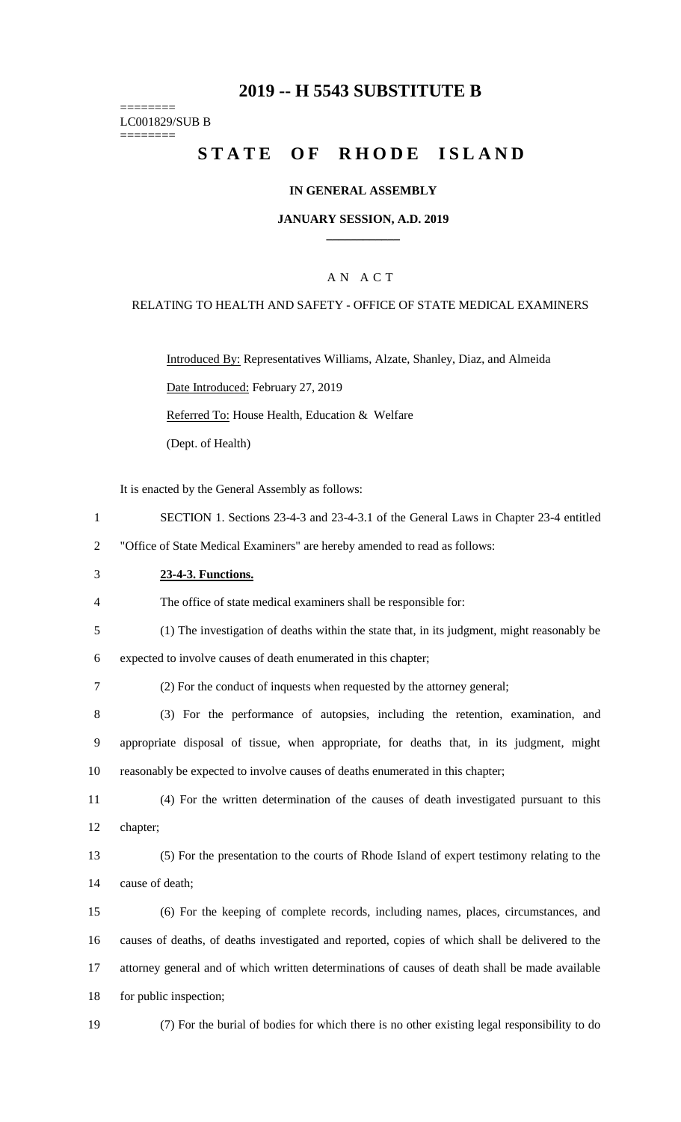# **2019 -- H 5543 SUBSTITUTE B**

======== LC001829/SUB B

========

# **STATE OF RHODE ISLAND**

### **IN GENERAL ASSEMBLY**

### **JANUARY SESSION, A.D. 2019 \_\_\_\_\_\_\_\_\_\_\_\_**

### A N A C T

### RELATING TO HEALTH AND SAFETY - OFFICE OF STATE MEDICAL EXAMINERS

Introduced By: Representatives Williams, Alzate, Shanley, Diaz, and Almeida Date Introduced: February 27, 2019 Referred To: House Health, Education & Welfare (Dept. of Health)

It is enacted by the General Assembly as follows:

1 SECTION 1. Sections 23-4-3 and 23-4-3.1 of the General Laws in Chapter 23-4 entitled

2 "Office of State Medical Examiners" are hereby amended to read as follows:

### 3 **23-4-3. Functions.**

4 The office of state medical examiners shall be responsible for:

5 (1) The investigation of deaths within the state that, in its judgment, might reasonably be

6 expected to involve causes of death enumerated in this chapter;

7 (2) For the conduct of inquests when requested by the attorney general;

8 (3) For the performance of autopsies, including the retention, examination, and 9 appropriate disposal of tissue, when appropriate, for deaths that, in its judgment, might 10 reasonably be expected to involve causes of deaths enumerated in this chapter;

11 (4) For the written determination of the causes of death investigated pursuant to this 12 chapter;

13 (5) For the presentation to the courts of Rhode Island of expert testimony relating to the 14 cause of death;

 (6) For the keeping of complete records, including names, places, circumstances, and causes of deaths, of deaths investigated and reported, copies of which shall be delivered to the attorney general and of which written determinations of causes of death shall be made available for public inspection;

19 (7) For the burial of bodies for which there is no other existing legal responsibility to do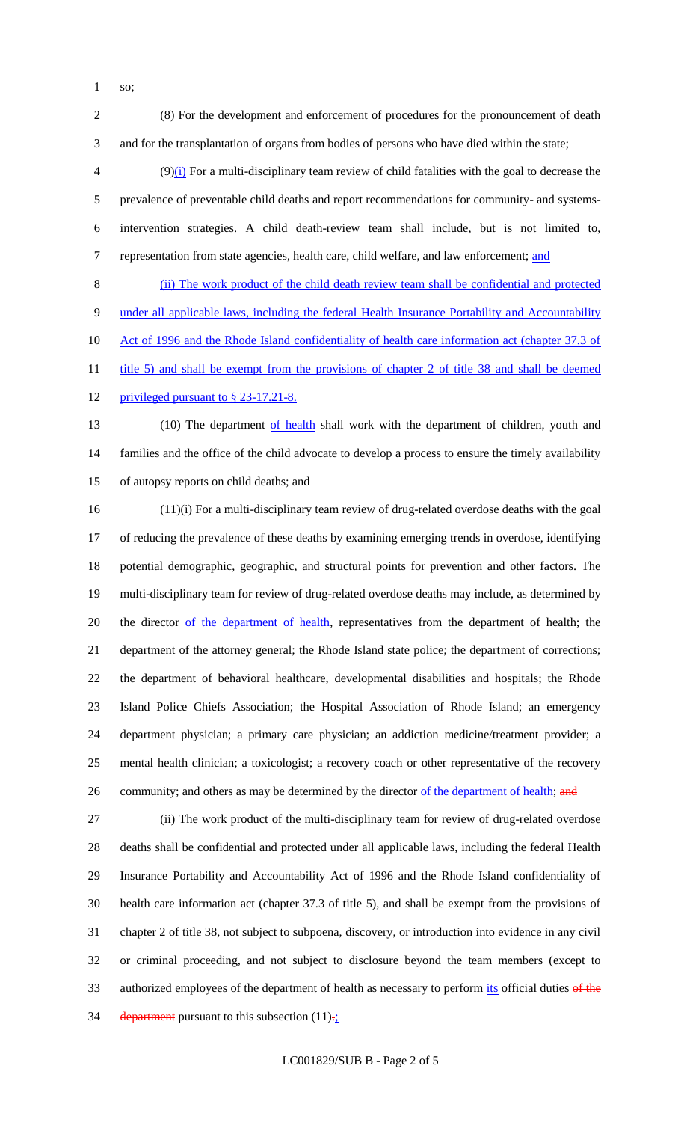so;

 (8) For the development and enforcement of procedures for the pronouncement of death and for the transplantation of organs from bodies of persons who have died within the state;

 $(9)(i)$  For a multi-disciplinary team review of child fatalities with the goal to decrease the prevalence of preventable child deaths and report recommendations for community- and systems- intervention strategies. A child death-review team shall include, but is not limited to, 7 representation from state agencies, health care, child welfare, and law enforcement; and

 (ii) The work product of the child death review team shall be confidential and protected under all applicable laws, including the federal Health Insurance Portability and Accountability 10 Act of 1996 and the Rhode Island confidentiality of health care information act (chapter 37.3 of 11 title 5) and shall be exempt from the provisions of chapter 2 of title 38 and shall be deemed

12 privileged pursuant to § 23-17.21-8.

13 (10) The department of health shall work with the department of children, youth and families and the office of the child advocate to develop a process to ensure the timely availability of autopsy reports on child deaths; and

 (11)(i) For a multi-disciplinary team review of drug-related overdose deaths with the goal of reducing the prevalence of these deaths by examining emerging trends in overdose, identifying potential demographic, geographic, and structural points for prevention and other factors. The multi-disciplinary team for review of drug-related overdose deaths may include, as determined by 20 the director of the department of health, representatives from the department of health; the department of the attorney general; the Rhode Island state police; the department of corrections; the department of behavioral healthcare, developmental disabilities and hospitals; the Rhode Island Police Chiefs Association; the Hospital Association of Rhode Island; an emergency department physician; a primary care physician; an addiction medicine/treatment provider; a mental health clinician; a toxicologist; a recovery coach or other representative of the recovery 26 community; and others as may be determined by the director of the department of health; and

 (ii) The work product of the multi-disciplinary team for review of drug-related overdose deaths shall be confidential and protected under all applicable laws, including the federal Health Insurance Portability and Accountability Act of 1996 and the Rhode Island confidentiality of health care information act (chapter 37.3 of title 5), and shall be exempt from the provisions of chapter 2 of title 38, not subject to subpoena, discovery, or introduction into evidence in any civil or criminal proceeding, and not subject to disclosure beyond the team members (except to 33 authorized employees of the department of health as necessary to perform its official duties of the 34 department pursuant to this subsection  $(11)_{\tau_2}$ .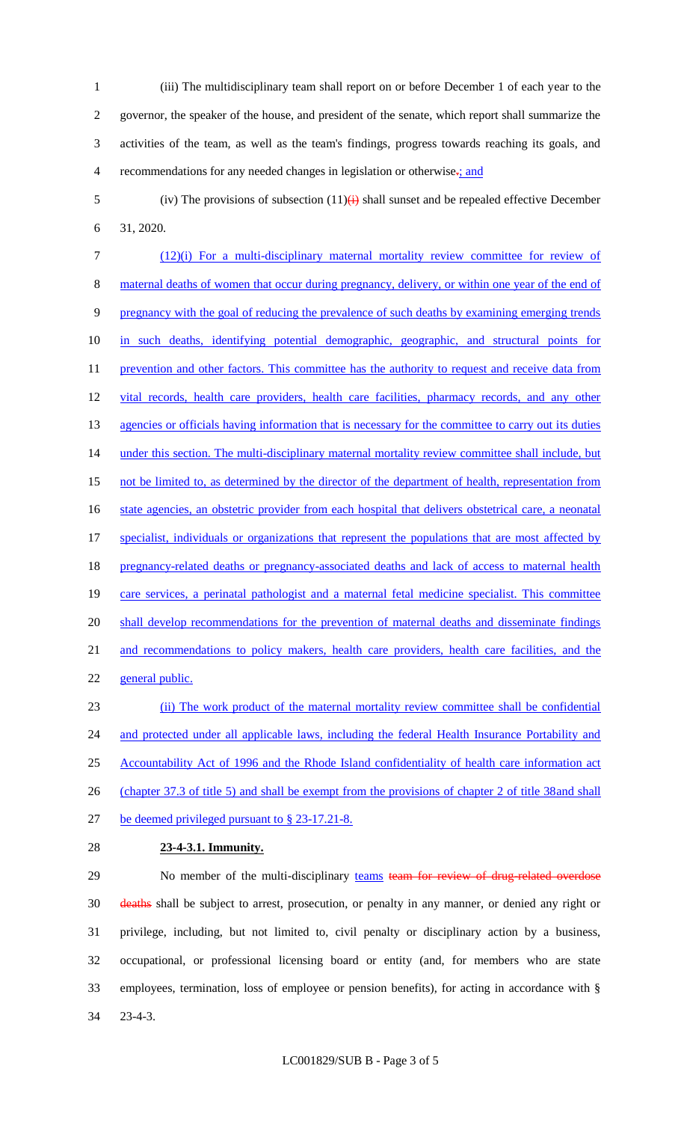- 1 (iii) The multidisciplinary team shall report on or before December 1 of each year to the 2 governor, the speaker of the house, and president of the senate, which report shall summarize the 3 activities of the team, as well as the team's findings, progress towards reaching its goals, and 4 recommendations for any needed changes in legislation or otherwise.; and
- 5 (iv) The provisions of subsection  $(11)(i)$  shall sunset and be repealed effective December 6 31, 2020.

7 (12)(i) For a multi-disciplinary maternal mortality review committee for review of 8 maternal deaths of women that occur during pregnancy, delivery, or within one year of the end of 9 pregnancy with the goal of reducing the prevalence of such deaths by examining emerging trends 10 in such deaths, identifying potential demographic, geographic, and structural points for 11 prevention and other factors. This committee has the authority to request and receive data from 12 vital records, health care providers, health care facilities, pharmacy records, and any other 13 agencies or officials having information that is necessary for the committee to carry out its duties 14 under this section. The multi-disciplinary maternal mortality review committee shall include, but 15 not be limited to, as determined by the director of the department of health, representation from 16 state agencies, an obstetric provider from each hospital that delivers obstetrical care, a neonatal 17 specialist, individuals or organizations that represent the populations that are most affected by 18 pregnancy-related deaths or pregnancy-associated deaths and lack of access to maternal health 19 care services, a perinatal pathologist and a maternal fetal medicine specialist. This committee 20 shall develop recommendations for the prevention of maternal deaths and disseminate findings 21 and recommendations to policy makers, health care providers, health care facilities, and the 22 general public. 23 (ii) The work product of the maternal mortality review committee shall be confidential

24 and protected under all applicable laws, including the federal Health Insurance Portability and 25 Accountability Act of 1996 and the Rhode Island confidentiality of health care information act 26 (chapter 37.3 of title 5) and shall be exempt from the provisions of chapter 2 of title 38and shall 27 be deemed privileged pursuant to § 23-17.21-8.

#### 28 **23-4-3.1. Immunity.**

29 No member of the multi-disciplinary teams team for review of drug-related overdose deaths shall be subject to arrest, prosecution, or penalty in any manner, or denied any right or privilege, including, but not limited to, civil penalty or disciplinary action by a business, occupational, or professional licensing board or entity (and, for members who are state employees, termination, loss of employee or pension benefits), for acting in accordance with § 34 23-4-3.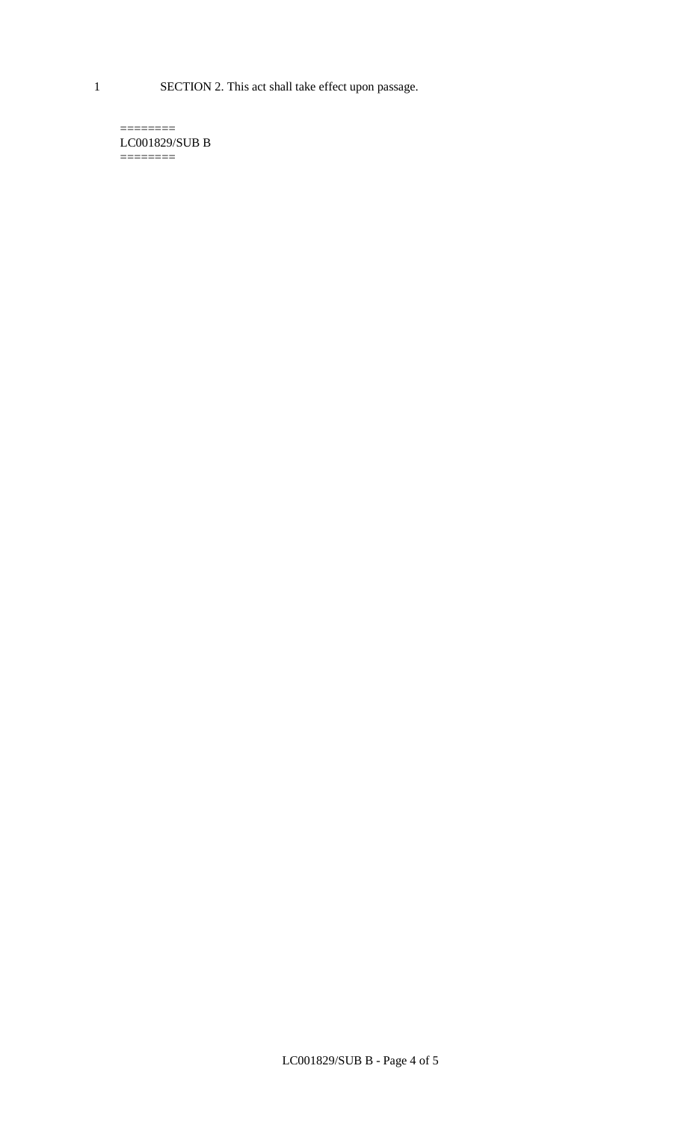1 SECTION 2. This act shall take effect upon passage.

 $=$ LC001829/SUB B  $=$